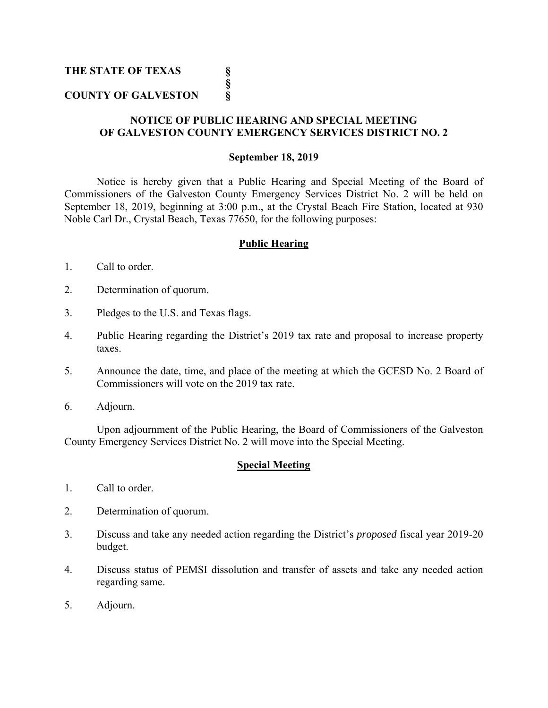# THE STATE OF TEXAS<br>§<br>COUNTY OF GALVESTON **§ COUNTY OF GALVESTON**

 **§** 

# **NOTICE OF PUBLIC HEARING AND SPECIAL MEETING OF GALVESTON COUNTY EMERGENCY SERVICES DISTRICT NO. 2**

# **September 18, 2019**

Notice is hereby given that a Public Hearing and Special Meeting of the Board of Commissioners of the Galveston County Emergency Services District No. 2 will be held on September 18, 2019, beginning at 3:00 p.m., at the Crystal Beach Fire Station, located at 930 Noble Carl Dr., Crystal Beach, Texas 77650, for the following purposes:

# **Public Hearing**

- 1. Call to order.
- 2. Determination of quorum.
- 3. Pledges to the U.S. and Texas flags.
- 4. Public Hearing regarding the District's 2019 tax rate and proposal to increase property taxes.
- 5. Announce the date, time, and place of the meeting at which the GCESD No. 2 Board of Commissioners will vote on the 2019 tax rate.
- 6. Adjourn.

Upon adjournment of the Public Hearing, the Board of Commissioners of the Galveston County Emergency Services District No. 2 will move into the Special Meeting.

## **Special Meeting**

- 1. Call to order.
- 2. Determination of quorum.
- 3. Discuss and take any needed action regarding the District's *proposed* fiscal year 2019-20 budget.
- 4. Discuss status of PEMSI dissolution and transfer of assets and take any needed action regarding same.
- 5. Adjourn.